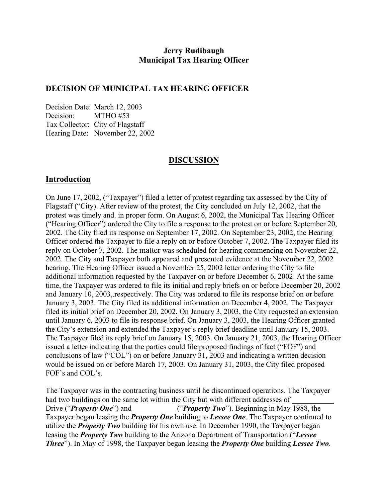# **Jerry Rudibaugh Municipal Tax Hearing Officer**

## **DECISION OF MUNICIPAL TAX HEARING OFFICER**

Decision Date: March 12, 2003 Decision: MTHO #53 Tax Collector: City of Flagstaff Hearing Date: November 22, 2002

#### **DISCUSSION**

#### **Introduction**

On June 17, 2002, ("Taxpayer") filed a letter of protest regarding tax assessed by the City of Flagstaff ("City). After review of the protest, the City concluded on July 12, 2002, that the protest was timely and. in proper form. On August 6, 2002, the Municipal Tax Hearing Officer ("Hearing Officer") ordered the City to file a response to the protest on or before September 20, 2002. The City filed its response on September 17, 2002. On September 23, 2002, the Hearing Officer ordered the Taxpayer to file a reply on or before October 7, 2002. The Taxpayer filed its reply on October 7, 2002. The matter was scheduled for hearing commencing on November 22, 2002. The City and Taxpayer both appeared and presented evidence at the November 22, 2002 hearing. The Hearing Officer issued a November 25, 2002 letter ordering the City to file additional information requested by the Taxpayer on or before December 6, 2002. At the same time, the Taxpayer was ordered to file its initial and reply briefs on or before December 20, 2002 and January 10, 2003,.respectively. The City was ordered to file its response brief on or before January 3, 2003. The City filed its additional information on December 4, 2002. The Taxpayer filed its initial brief on December 20, 2002. On January 3, 2003, the City requested an extension until January 6, 2003 to file its response brief. On January 3, 2003, the Hearing Officer granted the City's extension and extended the Taxpayer's reply brief deadline until January 15, 2003. The Taxpayer filed its reply brief on January 15, 2003. On January 21, 2003, the Hearing Officer issued a letter indicating that the parties could file proposed findings of fact ("FOF") and conclusions of law ("COL") on or before January 31, 2003 and indicating a written decision would be issued on or before March 17, 2003. On January 31, 2003, the City filed proposed FOF's and COL's.

The Taxpayer was in the contracting business until he discontinued operations. The Taxpayer had two buildings on the same lot within the City but with different addresses of Drive ("*Property One*") and ("*Property Two*"). Beginning in May 1988, the Taxpayer began leasing the *Property One* building to *Lessee One*. The Taxpayer continued to utilize the *Property Two* building for his own use. In December 1990, the Taxpayer began leasing the *Property Two* building to the Arizona Department of Transportation ("*Lessee Three*"). In May of 1998, the Taxpayer began leasing the *Property One* building *Lessee Two*.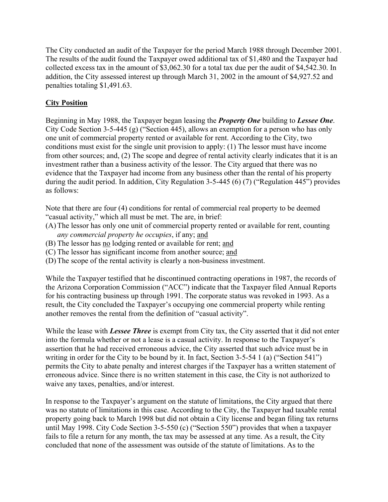The City conducted an audit of the Taxpayer for the period March 1988 through December 2001. The results of the audit found the Taxpayer owed additional tax of \$1,480 and the Taxpayer had collected excess tax in the amount of \$3,062.30 for a total tax due per the audit of \$4,542.30. In addition, the City assessed interest up through March 31, 2002 in the amount of \$4,927.52 and penalties totaling \$1,491.63.

## **City Position**

Beginning in May 1988, the Taxpayer began leasing the *Property One* building to *Lessee One*. City Code Section 3-5-445 (g) ("Section 445), allows an exemption for a person who has only one unit of commercial property rented or available for rent. According to the City, two conditions must exist for the single unit provision to apply: (1) The lessor must have income from other sources; and, (2) The scope and degree of rental activity clearly indicates that it is an investment rather than a business activity of the lessor. The City argued that there was no evidence that the Taxpayer had income from any business other than the rental of his property during the audit period. In addition, City Regulation 3-5-445 (6) (7) ("Regulation 445") provides as follows:

Note that there are four (4) conditions for rental of commercial real property to be deemed "casual activity," which all must be met. The are, in brief:

- (A) The lessor has only one unit of commercial property rented or available for rent, counting *any commercial property he occupies*, if any; and
- (B) The lessor has no lodging rented or available for rent; and
- (C) The lessor has significant income from another source; and
- (D) The scope of the rental activity is clearly a non-business investment.

While the Taxpayer testified that he discontinued contracting operations in 1987, the records of the Arizona Corporation Commission ("ACC") indicate that the Taxpayer filed Annual Reports for his contracting business up through 1991. The corporate status was revoked in 1993. As a result, the City concluded the Taxpayer's occupying one commercial property while renting another removes the rental from the definition of "casual activity".

While the lease with *Lessee Three* is exempt from City tax, the City asserted that it did not enter into the formula whether or not a lease is a casual activity. In response to the Taxpayer's assertion that he had received erroneous advice, the City asserted that such advice must be in writing in order for the City to be bound by it. In fact, Section 3-5-54 1 (a) ("Section 541") permits the City to abate penalty and interest charges if the Taxpayer has a written statement of erroneous advice. Since there is no written statement in this case, the City is not authorized to waive any taxes, penalties, and/or interest.

In response to the Taxpayer's argument on the statute of limitations, the City argued that there was no statute of limitations in this case. According to the City, the Taxpayer had taxable rental property going back to March 1998 but did not obtain a City license and began filing tax returns until May 1998. City Code Section 3-5-550 (c) ("Section 550") provides that when a taxpayer fails to file a return for any month, the tax may be assessed at any time. As a result, the City concluded that none of the assessment was outside of the statute of limitations. As to the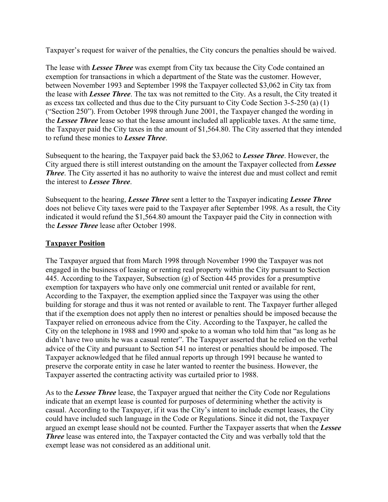Taxpayer's request for waiver of the penalties, the City concurs the penalties should be waived.

The lease with *Lessee Three* was exempt from City tax because the City Code contained an exemption for transactions in which a department of the State was the customer. However, between November 1993 and September 1998 the Taxpayer collected \$3,062 in City tax from the lease with *Lessee Three*. The tax was not remitted to the City. As a result, the City treated it as excess tax collected and thus due to the City pursuant to City Code Section 3-5-250 (a) (1) ("Section 250"). From October 1998 through June 2001, the Taxpayer changed the wording in the *Lessee Three* lease so that the lease amount included all applicable taxes. At the same time, the Taxpayer paid the City taxes in the amount of \$1,564.80. The City asserted that they intended to refund these monies to *Lessee Three*.

Subsequent to the hearing, the Taxpayer paid back the \$3,062 to *Lessee Three*. However, the City argued there is still interest outstanding on the amount the Taxpayer collected from *Lessee Three*. The City asserted it has no authority to waive the interest due and must collect and remit the interest to *Lessee Three*.

Subsequent to the hearing, *Lessee Three* sent a letter to the Taxpayer indicating *Lessee Three* does not believe City taxes were paid to the Taxpayer after September 1998. As a result, the City indicated it would refund the \$1,564.80 amount the Taxpayer paid the City in connection with the *Lessee Three* lease after October 1998.

## **Taxpayer Position**

The Taxpayer argued that from March 1998 through November 1990 the Taxpayer was not engaged in the business of leasing or renting real property within the City pursuant to Section 445. According to the Taxpayer, Subsection (g) of Section 445 provides for a presumptive exemption for taxpayers who have only one commercial unit rented or available for rent, According to the Taxpayer, the exemption applied since the Taxpayer was using the other building for storage and thus it was not rented or available to rent. The Taxpayer further alleged that if the exemption does not apply then no interest or penalties should be imposed because the Taxpayer relied on erroneous advice from the City. According to the Taxpayer, he called the City on the telephone in 1988 and 1990 and spoke to a woman who told him that "as long as he didn't have two units he was a casual renter". The Taxpayer asserted that he relied on the verbal advice of the City and pursuant to Section 541 no interest or penalties should be imposed. The Taxpayer acknowledged that he filed annual reports up through 1991 because he wanted to preserve the corporate entity in case he later wanted to reenter the business. However, the Taxpayer asserted the contracting activity was curtailed prior to 1988.

As to the *Lessee Three* lease, the Taxpayer argued that neither the City Code nor Regulations indicate that an exempt lease is counted for purposes of determining whether the activity is casual. According to the Taxpayer, if it was the City's intent to include exempt leases, the City could have included such language in the Code or Regulations. Since it did not, the Taxpayer argued an exempt lease should not be counted. Further the Taxpayer asserts that when the *Lessee Three* lease was entered into, the Taxpayer contacted the City and was verbally told that the exempt lease was not considered as an additional unit.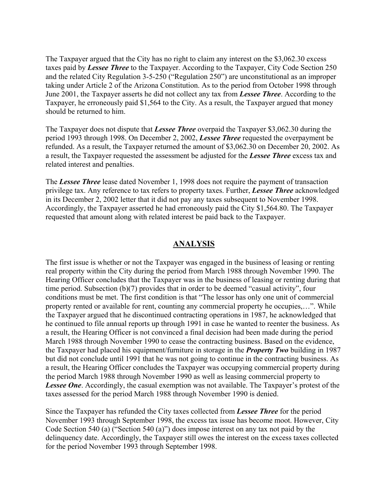The Taxpayer argued that the City has no right to claim any interest on the \$3,062.30 excess taxes paid by *Lessee Three* to the Taxpayer. According to the Taxpayer, City Code Section 250 and the related City Regulation 3-5-250 ("Regulation 250") are unconstitutional as an improper taking under Article 2 of the Arizona Constitution. As to the period from October 1998 through June 2001, the Taxpayer asserts he did not collect any tax from *Lessee Three*. According to the Taxpayer, he erroneously paid \$1,564 to the City. As a result, the Taxpayer argued that money should be returned to him.

The Taxpayer does not dispute that *Lessee Three* overpaid the Taxpayer \$3,062.30 during the period 1993 through 1998. On December 2, 2002, *Lessee Three* requested the overpayment be refunded. As a result, the Taxpayer returned the amount of \$3,062.30 on December 20, 2002. As a result, the Taxpayer requested the assessment be adjusted for the *Lessee Three* excess tax and related interest and penalties.

The *Lessee Three* lease dated November 1, 1998 does not require the payment of transaction privilege tax. Any reference to tax refers to property taxes. Further, *Lessee Three* acknowledged in its December 2, 2002 letter that it did not pay any taxes subsequent to November 1998. Accordingly, the Taxpayer asserted he had erroneously paid the City \$1,564.80. The Taxpayer requested that amount along with related interest be paid back to the Taxpayer.

## **ANALYSIS**

The first issue is whether or not the Taxpayer was engaged in the business of leasing or renting real property within the City during the period from March 1988 through November 1990. The Hearing Officer concludes that the Taxpayer was in the business of leasing or renting during that time period. Subsection (b)(7) provides that in order to be deemed "casual activity", four conditions must be met. The first condition is that "The lessor has only one unit of commercial property rented or available for rent, counting any commercial property he occupies,…". While the Taxpayer argued that he discontinued contracting operations in 1987, he acknowledged that he continued to file annual reports up through 1991 in case he wanted to reenter the business. As a result, the Hearing Officer is not convinced a final decision had been made during the period March 1988 through November 1990 to cease the contracting business. Based on the evidence, the Taxpayer had placed his equipment/furniture in storage in the *Property Two* building in 1987 but did not conclude until 1991 that he was not going to continue in the contracting business. As a result, the Hearing Officer concludes the Taxpayer was occupying commercial property during the period March 1988 through November 1990 as well as leasing commercial property to **Lessee One**. Accordingly, the casual exemption was not available. The Taxpayer's protest of the taxes assessed for the period March 1988 through November 1990 is denied.

Since the Taxpayer has refunded the City taxes collected from *Lessee Three* for the period November 1993 through September 1998, the excess tax issue has become moot. However, City Code Section 540 (a) ("Section 540 (a)") does impose interest on any tax not paid by the delinquency date. Accordingly, the Taxpayer still owes the interest on the excess taxes collected for the period November 1993 through September 1998.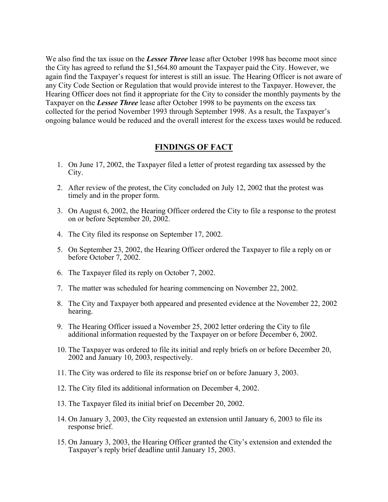We also find the tax issue on the *Lessee Three* lease after October 1998 has become moot since the City has agreed to refund the \$1,564.80 amount the Taxpayer paid the City. However, we again find the Taxpayer's request for interest is still an issue. The Hearing Officer is not aware of any City Code Section or Regulation that would provide interest to the Taxpayer. However, the Hearing Officer does not find it appropriate for the City to consider the monthly payments by the Taxpayer on the *Lessee Three* lease after October 1998 to be payments on the excess tax collected for the period November 1993 through September 1998. As a result, the Taxpayer's ongoing balance would be reduced and the overall interest for the excess taxes would be reduced.

## **FINDINGS OF FACT**

- 1. On June 17, 2002, the Taxpayer filed a letter of protest regarding tax assessed by the City.
- 2. After review of the protest, the City concluded on July 12, 2002 that the protest was timely and in the proper form.
- 3. On August 6, 2002, the Hearing Officer ordered the City to file a response to the protest on or before September 20, 2002.
- 4. The City filed its response on September 17, 2002.
- 5. On September 23, 2002, the Hearing Officer ordered the Taxpayer to file a reply on or before October 7, 2002.
- 6. The Taxpayer filed its reply on October 7, 2002.
- 7. The matter was scheduled for hearing commencing on November 22, 2002.
- 8. The City and Taxpayer both appeared and presented evidence at the November 22, 2002 hearing.
- 9. The Hearing Officer issued a November 25, 2002 letter ordering the City to file additional information requested by the Taxpayer on or before December 6, 2002.
- 10. The Taxpayer was ordered to file its initial and reply briefs on or before December 20, 2002 and January 10, 2003, respectively.
- 11. The City was ordered to file its response brief on or before January 3, 2003.
- 12. The City filed its additional information on December 4, 2002.
- 13. The Taxpayer filed its initial brief on December 20, 2002.
- 14. On January 3, 2003, the City requested an extension until January 6, 2003 to file its response brief.
- 15. On January 3, 2003, the Hearing Officer granted the City's extension and extended the Taxpayer's reply brief deadline until January 15, 2003.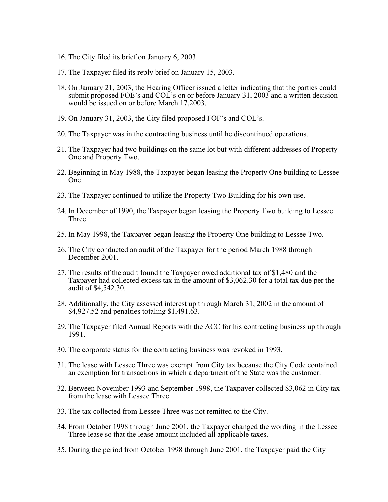- 16. The City filed its brief on January 6, 2003.
- 17. The Taxpayer filed its reply brief on January 15, 2003.
- 18. On January 21, 2003, the Hearing Officer issued a letter indicating that the parties could submit proposed FOE's and COL's on or before January 31, 2003 and a written decision would be issued on or before March 17,2003.
- 19. On January 31, 2003, the City filed proposed FOF's and COL's.
- 20. The Taxpayer was in the contracting business until he discontinued operations.
- 21. The Taxpayer had two buildings on the same lot but with different addresses of Property One and Property Two.
- 22. Beginning in May 1988, the Taxpayer began leasing the Property One building to Lessee One.
- 23. The Taxpayer continued to utilize the Property Two Building for his own use.
- 24. In December of 1990, the Taxpayer began leasing the Property Two building to Lessee Three.
- 25. In May 1998, the Taxpayer began leasing the Property One building to Lessee Two.
- 26. The City conducted an audit of the Taxpayer for the period March 1988 through December 2001.
- 27. The results of the audit found the Taxpayer owed additional tax of \$1,480 and the Taxpayer had collected excess tax in the amount of \$3,062.30 for a total tax due per the audit of \$4,542.30.
- 28. Additionally, the City assessed interest up through March 31, 2002 in the amount of \$4,927.52 and penalties totaling \$1,491.63.
- 29. The Taxpayer filed Annual Reports with the ACC for his contracting business up through 1991.
- 30. The corporate status for the contracting business was revoked in 1993.
- 31. The lease with Lessee Three was exempt from City tax because the City Code contained an exemption for transactions in which a department of the State was the customer.
- 32. Between November 1993 and September 1998, the Taxpayer collected \$3,062 in City tax from the lease with Lessee Three.
- 33. The tax collected from Lessee Three was not remitted to the City.
- 34. From October 1998 through June 2001, the Taxpayer changed the wording in the Lessee Three lease so that the lease amount included all applicable taxes.
- 35. During the period from October 1998 through June 2001, the Taxpayer paid the City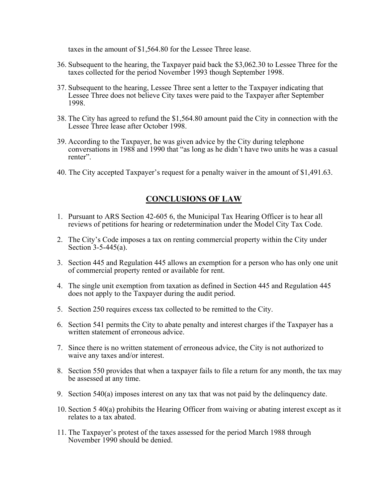taxes in the amount of \$1,564.80 for the Lessee Three lease.

- 36. Subsequent to the hearing, the Taxpayer paid back the \$3,062.30 to Lessee Three for the taxes collected for the period November 1993 though September 1998.
- 37. Subsequent to the hearing, Lessee Three sent a letter to the Taxpayer indicating that Lessee Three does not believe City taxes were paid to the Taxpayer after September 1998.
- 38. The City has agreed to refund the \$1,564.80 amount paid the City in connection with the Lessee Three lease after October 1998.
- 39. According to the Taxpayer, he was given advice by the City during telephone conversations in 1988 and 1990 that "as long as he didn't have two units he was a casual renter".
- 40. The City accepted Taxpayer's request for a penalty waiver in the amount of \$1,491.63.

# **CONCLUSIONS OF LAW**

- 1. Pursuant to ARS Section 42-605 6, the Municipal Tax Hearing Officer is to hear all reviews of petitions for hearing or redetermination under the Model City Tax Code.
- 2. The City's Code imposes a tax on renting commercial property within the City under Section 3-5-445(a).
- 3. Section 445 and Regulation 445 allows an exemption for a person who has only one unit of commercial property rented or available for rent.
- 4. The single unit exemption from taxation as defined in Section 445 and Regulation 445 does not apply to the Taxpayer during the audit period.
- 5. Section 250 requires excess tax collected to be remitted to the City.
- 6. Section 541 permits the City to abate penalty and interest charges if the Taxpayer has a written statement of erroneous advice.
- 7. Since there is no written statement of erroneous advice, the City is not authorized to waive any taxes and/or interest.
- 8. Section 550 provides that when a taxpayer fails to file a return for any month, the tax may be assessed at any time.
- 9. Section 540(a) imposes interest on any tax that was not paid by the delinquency date.
- 10. Section 5 40(a) prohibits the Hearing Officer from waiving or abating interest except as it relates to a tax abated.
- 11. The Taxpayer's protest of the taxes assessed for the period March 1988 through November 1990 should be denied.